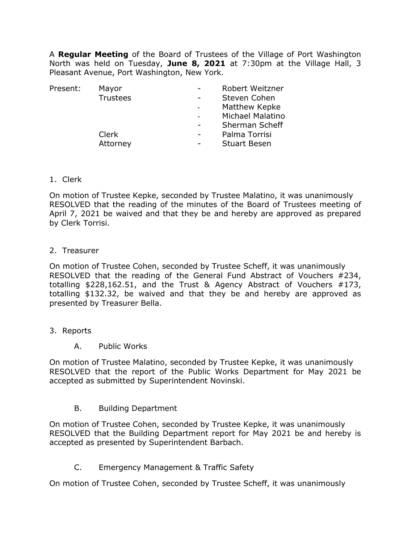A **Regular Meeting** of the Board of Trustees of the Village of Port Washington North was held on Tuesday, **June 8, 2021** at 7:30pm at the Village Hall, 3 Pleasant Avenue, Port Washington, New York.

| Mayor           |                          | Robert Weitzner     |
|-----------------|--------------------------|---------------------|
| <b>Trustees</b> | -                        | Steven Cohen        |
|                 |                          | Matthew Kepke       |
|                 |                          | Michael Malatino    |
|                 |                          | Sherman Scheff      |
| Clerk           | $\overline{\phantom{0}}$ | Palma Torrisi       |
| Attorney        |                          | <b>Stuart Besen</b> |
|                 |                          |                     |

1. Clerk

On motion of Trustee Kepke, seconded by Trustee Malatino, it was unanimously RESOLVED that the reading of the minutes of the Board of Trustees meeting of April 7, 2021 be waived and that they be and hereby are approved as prepared by Clerk Torrisi.

2. Treasurer

On motion of Trustee Cohen, seconded by Trustee Scheff, it was unanimously RESOLVED that the reading of the General Fund Abstract of Vouchers #234, totalling \$228,162.51, and the Trust & Agency Abstract of Vouchers #173, totalling \$132.32, be waived and that they be and hereby are approved as presented by Treasurer Bella.

- 3. Reports
	- A. Public Works

On motion of Trustee Malatino, seconded by Trustee Kepke, it was unanimously RESOLVED that the report of the Public Works Department for May 2021 be accepted as submitted by Superintendent Novinski.

B. Building Department

On motion of Trustee Cohen, seconded by Trustee Kepke, it was unanimously RESOLVED that the Building Department report for May 2021 be and hereby is accepted as presented by Superintendent Barbach.

C. Emergency Management & Traffic Safety

On motion of Trustee Cohen, seconded by Trustee Scheff, it was unanimously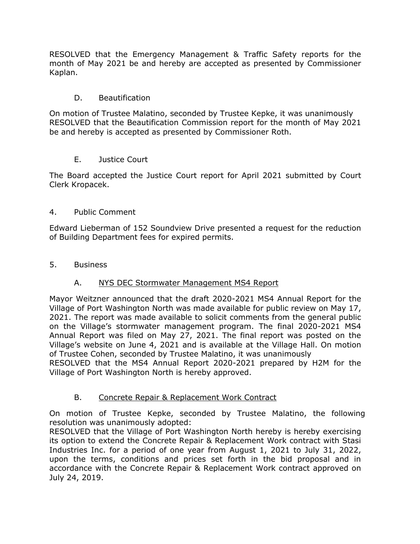RESOLVED that the Emergency Management & Traffic Safety reports for the month of May 2021 be and hereby are accepted as presented by Commissioner Kaplan.

### D. Beautification

On motion of Trustee Malatino, seconded by Trustee Kepke, it was unanimously RESOLVED that the Beautification Commission report for the month of May 2021 be and hereby is accepted as presented by Commissioner Roth.

#### E. Justice Court

The Board accepted the Justice Court report for April 2021 submitted by Court Clerk Kropacek.

#### 4. Public Comment

Edward Lieberman of 152 Soundview Drive presented a request for the reduction of Building Department fees for expired permits.

#### 5. Business

# A. NYS DEC Stormwater Management MS4 Report

Mayor Weitzner announced that the draft 2020-2021 MS4 Annual Report for the Village of Port Washington North was made available for public review on May 17, 2021. The report was made available to solicit comments from the general public on the Village's stormwater management program. The final 2020-2021 MS4 Annual Report was filed on May 27, 2021. The final report was posted on the Village's website on June 4, 2021 and is available at the Village Hall. On motion of Trustee Cohen, seconded by Trustee Malatino, it was unanimously

RESOLVED that the MS4 Annual Report 2020-2021 prepared by H2M for the Village of Port Washington North is hereby approved.

# B. Concrete Repair & Replacement Work Contract

On motion of Trustee Kepke, seconded by Trustee Malatino, the following resolution was unanimously adopted:

RESOLVED that the Village of Port Washington North hereby is hereby exercising its option to extend the Concrete Repair & Replacement Work contract with Stasi Industries Inc. for a period of one year from August 1, 2021 to July 31, 2022, upon the terms, conditions and prices set forth in the bid proposal and in accordance with the Concrete Repair & Replacement Work contract approved on July 24, 2019.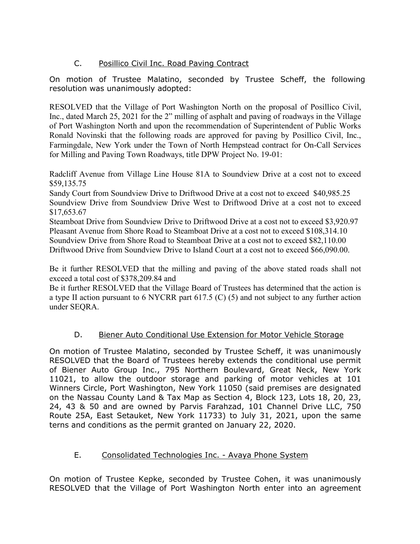# C. Posillico Civil Inc. Road Paving Contract

On motion of Trustee Malatino, seconded by Trustee Scheff, the following resolution was unanimously adopted:

RESOLVED that the Village of Port Washington North on the proposal of Posillico Civil, Inc., dated March 25, 2021 for the 2" milling of asphalt and paving of roadways in the Village of Port Washington North and upon the recommendation of Superintendent of Public Works Ronald Novinski that the following roads are approved for paving by Posillico Civil, Inc., Farmingdale, New York under the Town of North Hempstead contract for On-Call Services for Milling and Paving Town Roadways, title DPW Project No. 19-01:

Radcliff Avenue from Village Line House 81A to Soundview Drive at a cost not to exceed \$59,135.75

Sandy Court from Soundview Drive to Driftwood Drive at a cost not to exceed \$40,985.25 Soundview Drive from Soundview Drive West to Driftwood Drive at a cost not to exceed \$17,653.67

Steamboat Drive from Soundview Drive to Driftwood Drive at a cost not to exceed \$3,920.97 Pleasant Avenue from Shore Road to Steamboat Drive at a cost not to exceed \$108,314.10 Soundview Drive from Shore Road to Steamboat Drive at a cost not to exceed \$82,110.00 Driftwood Drive from Soundview Drive to Island Court at a cost not to exceed \$66,090.00.

Be it further RESOLVED that the milling and paving of the above stated roads shall not exceed a total cost of \$378,209.84 and

Be it further RESOLVED that the Village Board of Trustees has determined that the action is a type II action pursuant to 6 NYCRR part 617.5 (C) (5) and not subject to any further action under SEQRA.

# D. Biener Auto Conditional Use Extension for Motor Vehicle Storage

On motion of Trustee Malatino, seconded by Trustee Scheff, it was unanimously RESOLVED that the Board of Trustees hereby extends the conditional use permit of Biener Auto Group Inc., 795 Northern Boulevard, Great Neck, New York 11021, to allow the outdoor storage and parking of motor vehicles at 101 Winners Circle, Port Washington, New York 11050 (said premises are designated on the Nassau County Land & Tax Map as Section 4, Block 123, Lots 18, 20, 23, 24, 43 & 50 and are owned by Parvis Farahzad, 101 Channel Drive LLC, 750 Route 25A, East Setauket, New York 11733) to July 31, 2021, upon the same terns and conditions as the permit granted on January 22, 2020.

# E. Consolidated Technologies Inc. - Avaya Phone System

On motion of Trustee Kepke, seconded by Trustee Cohen, it was unanimously RESOLVED that the Village of Port Washington North enter into an agreement